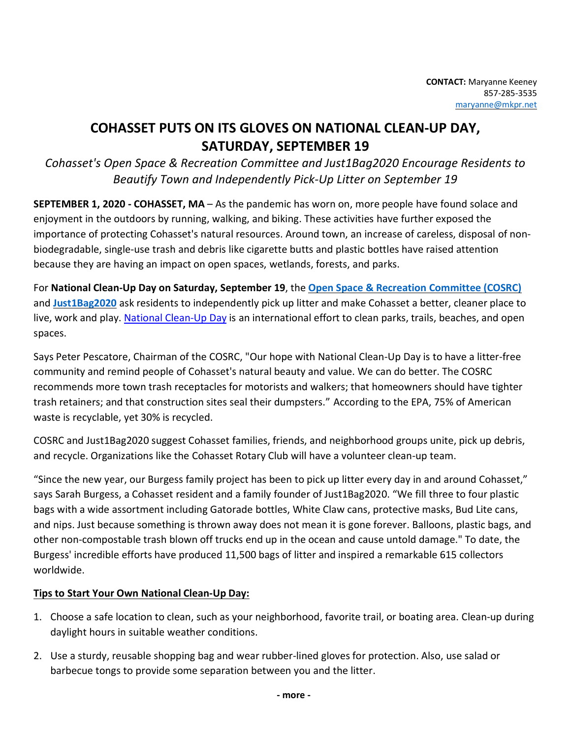## **COHASSET PUTS ON ITS GLOVES ON NATIONAL CLEAN-UP DAY, SATURDAY, SEPTEMBER 19**

*Cohasset's Open Space & Recreation Committee and Just1Bag2020 Encourage Residents to Beautify Town and Independently Pick-Up Litter on September 19*

**SEPTEMBER 1, 2020 - COHASSET, MA** – As the pandemic has worn on, more people have found solace and enjoyment in the outdoors by running, walking, and biking. These activities have further exposed the importance of protecting Cohasset's natural resources. Around town, an increase of careless, disposal of nonbiodegradable, single-use trash and debris like cigarette butts and plastic bottles have raised attention because they are having an impact on open spaces, wetlands, forests, and parks.

For **National Clean-Up Day on Saturday, September 19**, the **Open Space & Recreation Committee (COSRC)** and **Just1Bag2020** ask residents to independently pick up litter and make Cohasset a better, cleaner place to live, work and play. National Clean-Up Day is an international effort to clean parks, trails, beaches, and open spaces.

Says Peter Pescatore, Chairman of the COSRC, "Our hope with National Clean-Up Day is to have a litter-free community and remind people of Cohasset's natural beauty and value. We can do better. The COSRC recommends more town trash receptacles for motorists and walkers; that homeowners should have tighter trash retainers; and that construction sites seal their dumpsters." According to the EPA, 75% of American waste is recyclable, yet 30% is recycled.

COSRC and Just1Bag2020 suggest Cohasset families, friends, and neighborhood groups unite, pick up debris, and recycle. Organizations like the Cohasset Rotary Club will have a volunteer clean-up team.

"Since the new year, our Burgess family project has been to pick up litter every day in and around Cohasset," says Sarah Burgess, a Cohasset resident and a family founder of Just1Bag2020. "We fill three to four plastic bags with a wide assortment including Gatorade bottles, White Claw cans, protective masks, Bud Lite cans, and nips. Just because something is thrown away does not mean it is gone forever. Balloons, plastic bags, and other non-compostable trash blown off trucks end up in the ocean and cause untold damage." To date, the Burgess' incredible efforts have produced 11,500 bags of litter and inspired a remarkable 615 collectors worldwide.

## **Tips to Start Your Own National Clean-Up Day:**

- 1. Choose a safe location to clean, such as your neighborhood, favorite trail, or boating area. Clean-up during daylight hours in suitable weather conditions.
- 2. Use a sturdy, reusable shopping bag and wear rubber-lined gloves for protection. Also, use salad or barbecue tongs to provide some separation between you and the litter.